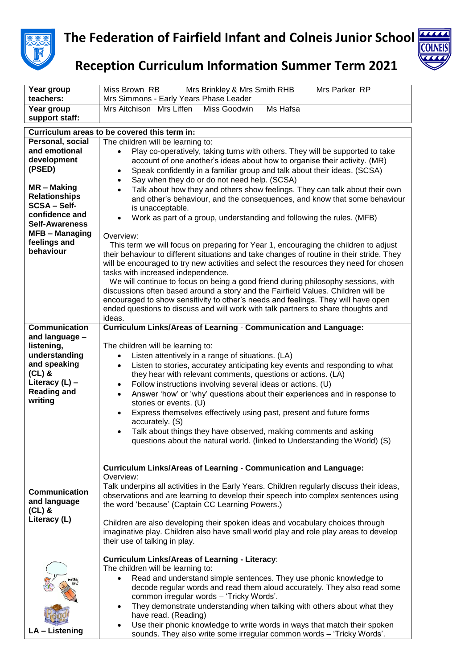

## **The Federation of Fairfield Infant and Colneis Junior School**



## **Reception Curriculum Information Summer Term 2021**

| Year group                          | Miss Brown RB<br>Mrs Brinkley & Mrs Smith RHB<br>Mrs Parker RP                                                                                                                      |
|-------------------------------------|-------------------------------------------------------------------------------------------------------------------------------------------------------------------------------------|
| teachers:                           | Mrs Simmons - Early Years Phase Leader                                                                                                                                              |
| Year group                          | Mrs Aitchison Mrs Liffen<br>Miss Goodwin<br>Ms Hafsa                                                                                                                                |
| support staff:                      |                                                                                                                                                                                     |
|                                     | Curriculum areas to be covered this term in:                                                                                                                                        |
| Personal, social                    | The children will be learning to:                                                                                                                                                   |
| and emotional                       | Play co-operatively, taking turns with others. They will be supported to take<br>$\bullet$                                                                                          |
| development                         | account of one another's ideas about how to organise their activity. (MR)                                                                                                           |
| (PSED)                              | Speak confidently in a familiar group and talk about their ideas. (SCSA)<br>$\bullet$                                                                                               |
|                                     | Say when they do or do not need help. (SCSA)<br>$\bullet$                                                                                                                           |
| MR - Making                         | Talk about how they and others show feelings. They can talk about their own<br>$\bullet$                                                                                            |
| <b>Relationships</b>                | and other's behaviour, and the consequences, and know that some behaviour                                                                                                           |
| <b>SCSA-Self-</b><br>confidence and | is unacceptable.                                                                                                                                                                    |
| <b>Self-Awareness</b>               | Work as part of a group, understanding and following the rules. (MFB)                                                                                                               |
| <b>MFB-Managing</b>                 |                                                                                                                                                                                     |
| feelings and                        | Overview:                                                                                                                                                                           |
| behaviour                           | This term we will focus on preparing for Year 1, encouraging the children to adjust                                                                                                 |
|                                     | their behaviour to different situations and take changes of routine in their stride. They<br>will be encouraged to try new activities and select the resources they need for chosen |
|                                     | tasks with increased independence.                                                                                                                                                  |
|                                     | We will continue to focus on being a good friend during philosophy sessions, with                                                                                                   |
|                                     | discussions often based around a story and the Fairfield Values. Children will be                                                                                                   |
|                                     | encouraged to show sensitivity to other's needs and feelings. They will have open                                                                                                   |
|                                     | ended questions to discuss and will work with talk partners to share thoughts and                                                                                                   |
|                                     | ideas.                                                                                                                                                                              |
| <b>Communication</b>                | <b>Curriculum Links/Areas of Learning - Communication and Language:</b>                                                                                                             |
| and language -                      |                                                                                                                                                                                     |
| listening,                          | The children will be learning to:                                                                                                                                                   |
| understanding                       | Listen attentively in a range of situations. (LA)<br>$\bullet$                                                                                                                      |
| and speaking                        | Listen to stories, accuratey anticipating key events and responding to what<br>$\bullet$                                                                                            |
| $(CL)$ &<br>Literacy $(L)$ –        | they hear with relevant comments, questions or actions. (LA)                                                                                                                        |
| <b>Reading and</b>                  | Follow instructions involving several ideas or actions. (U)<br>٠                                                                                                                    |
| writing                             | Answer 'how' or 'why' questions about their experiences and in response to<br>$\bullet$                                                                                             |
|                                     | stories or events. (U)                                                                                                                                                              |
|                                     | Express themselves effectively using past, present and future forms<br>$\bullet$<br>accurately. (S)                                                                                 |
|                                     | Talk about things they have observed, making comments and asking<br>$\bullet$                                                                                                       |
|                                     | questions about the natural world. (linked to Understanding the World) (S)                                                                                                          |
|                                     |                                                                                                                                                                                     |
|                                     |                                                                                                                                                                                     |
|                                     | <b>Curriculum Links/Areas of Learning - Communication and Language:</b>                                                                                                             |
|                                     | Overview:                                                                                                                                                                           |
| <b>Communication</b>                | Talk underpins all activities in the Early Years. Children regularly discuss their ideas,                                                                                           |
| and language                        | observations and are learning to develop their speech into complex sentences using                                                                                                  |
| $(CL)$ &                            | the word 'because' (Captain CC Learning Powers.)                                                                                                                                    |
| Literacy (L)                        | Children are also developing their spoken ideas and vocabulary choices through                                                                                                      |
|                                     | imaginative play. Children also have small world play and role play areas to develop                                                                                                |
|                                     | their use of talking in play.                                                                                                                                                       |
|                                     |                                                                                                                                                                                     |
|                                     | <b>Curriculum Links/Areas of Learning - Literacy:</b>                                                                                                                               |
|                                     | The children will be learning to:                                                                                                                                                   |
|                                     | Read and understand simple sentences. They use phonic knowledge to<br>$\bullet$                                                                                                     |
|                                     | decode regular words and read them aloud accurately. They also read some                                                                                                            |
|                                     | common irregular words - 'Tricky Words'.                                                                                                                                            |
|                                     | They demonstrate understanding when talking with others about what they<br>$\bullet$                                                                                                |
|                                     | have read. (Reading)                                                                                                                                                                |
| LA - Listening                      | Use their phonic knowledge to write words in ways that match their spoken<br>$\bullet$                                                                                              |
|                                     | sounds. They also write some irregular common words - 'Tricky Words'.                                                                                                               |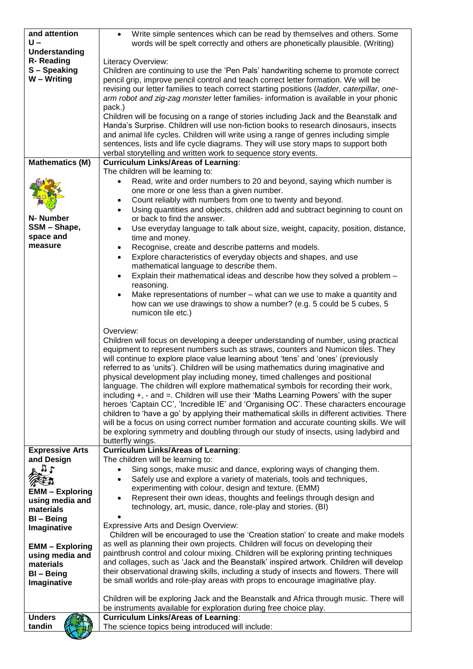| and attention                | Write simple sentences which can be read by themselves and others. Some<br>$\bullet$                                                                                                    |
|------------------------------|-----------------------------------------------------------------------------------------------------------------------------------------------------------------------------------------|
| U –<br>Understanding         | words will be spelt correctly and others are phonetically plausible. (Writing)                                                                                                          |
| R-Reading                    | Literacy Overview:                                                                                                                                                                      |
| S-Speaking                   | Children are continuing to use the 'Pen Pals' handwriting scheme to promote correct                                                                                                     |
| W - Writing                  | pencil grip, improve pencil control and teach correct letter formation. We will be                                                                                                      |
|                              | revising our letter families to teach correct starting positions (ladder, caterpillar, one-                                                                                             |
|                              | arm robot and zig-zag monster letter families- information is available in your phonic                                                                                                  |
|                              | pack.)<br>Children will be focusing on a range of stories including Jack and the Beanstalk and                                                                                          |
|                              | Handa's Surprise. Children will use non-fiction books to research dinosaurs, insects                                                                                                    |
|                              | and animal life cycles. Children will write using a range of genres including simple                                                                                                    |
|                              | sentences, lists and life cycle diagrams. They will use story maps to support both                                                                                                      |
|                              | verbal storytelling and written work to sequence story events.                                                                                                                          |
| <b>Mathematics (M)</b>       | <b>Curriculum Links/Areas of Learning:</b><br>The children will be learning to:                                                                                                         |
|                              | Read, write and order numbers to 20 and beyond, saying which number is<br>$\bullet$                                                                                                     |
|                              | one more or one less than a given number.                                                                                                                                               |
|                              | Count reliably with numbers from one to twenty and beyond.<br>٠                                                                                                                         |
|                              | Using quantities and objects, children add and subtract beginning to count on<br>$\bullet$                                                                                              |
| N- Number                    | or back to find the answer.                                                                                                                                                             |
| SSM - Shape,<br>space and    | Use everyday language to talk about size, weight, capacity, position, distance,<br>$\bullet$                                                                                            |
| measure                      | time and money.<br>Recognise, create and describe patterns and models.<br>٠                                                                                                             |
|                              | Explore characteristics of everyday objects and shapes, and use<br>$\bullet$                                                                                                            |
|                              | mathematical language to describe them.                                                                                                                                                 |
|                              | Explain their mathematical ideas and describe how they solved a problem -<br>$\bullet$                                                                                                  |
|                              | reasoning.                                                                                                                                                                              |
|                              | Make representations of number – what can we use to make a quantity and                                                                                                                 |
|                              | how can we use drawings to show a number? (e.g. 5 could be 5 cubes, 5<br>numicon tile etc.)                                                                                             |
|                              |                                                                                                                                                                                         |
|                              | Overview:                                                                                                                                                                               |
|                              | Children will focus on developing a deeper understanding of number, using practical                                                                                                     |
|                              | equipment to represent numbers such as straws, counters and Numicon tiles. They<br>will continue to explore place value learning about 'tens' and 'ones' (previously                    |
|                              | referred to as 'units'). Children will be using mathematics during imaginative and                                                                                                      |
|                              | physical development play including money, timed challenges and positional                                                                                                              |
|                              | language. The children will explore mathematical symbols for recording their work,                                                                                                      |
|                              | including $+$ , $-$ and $=$ . Children will use their 'Maths Learning Powers' with the super                                                                                            |
|                              | heroes 'Captain CC', 'Incredible IE' and 'Organising OC'. These characters encourage                                                                                                    |
|                              | children to 'have a go' by applying their mathematical skills in different activities. There<br>will be a focus on using correct number formation and accurate counting skills. We will |
|                              | be exploring symmetry and doubling through our study of insects, using ladybird and                                                                                                     |
|                              | butterfly wings.                                                                                                                                                                        |
| <b>Expressive Arts</b>       | <b>Curriculum Links/Areas of Learning:</b>                                                                                                                                              |
| and Design                   | The children will be learning to:                                                                                                                                                       |
| 7 <sup>1</sup>               | Sing songs, make music and dance, exploring ways of changing them.<br>$\bullet$<br>Safely use and explore a variety of materials, tools and techniques,<br>$\bullet$                    |
|                              | experimenting with colour, design and texture. (EMM)                                                                                                                                    |
| <b>EMM - Exploring</b>       | Represent their own ideas, thoughts and feelings through design and                                                                                                                     |
| using media and<br>materials | technology, art, music, dance, role-play and stories. (BI)                                                                                                                              |
| <b>BI-Being</b>              |                                                                                                                                                                                         |
| Imaginative                  | <b>Expressive Arts and Design Overview:</b>                                                                                                                                             |
|                              | Children will be encouraged to use the 'Creation station' to create and make models<br>as well as planning their own projects. Children will focus on developing their                  |
| <b>EMM - Exploring</b>       | paintbrush control and colour mixing. Children will be exploring printing techniques                                                                                                    |
| using media and<br>materials | and collages, such as 'Jack and the Beanstalk' inspired artwork. Children will develop                                                                                                  |
| BI-Being                     | their observational drawing skills, including a study of insects and flowers. There will                                                                                                |
| Imaginative                  | be small worlds and role-play areas with props to encourage imaginative play.                                                                                                           |
|                              | Children will be exploring Jack and the Beanstalk and Africa through music. There will                                                                                                  |
|                              | be instruments available for exploration during free choice play.                                                                                                                       |
| <b>Unders</b>                | <b>Curriculum Links/Areas of Learning:</b>                                                                                                                                              |
| tandin                       | The science topics being introduced will include:                                                                                                                                       |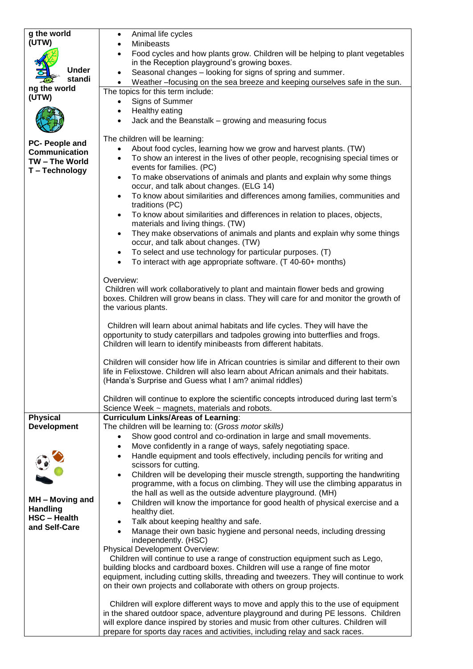| g the world                  | Animal life cycles<br>$\bullet$                                                                                                                                     |
|------------------------------|---------------------------------------------------------------------------------------------------------------------------------------------------------------------|
| (UTW)                        | <b>Minibeasts</b>                                                                                                                                                   |
|                              | Food cycles and how plants grow. Children will be helping to plant vegetables                                                                                       |
| <b>Under</b>                 | in the Reception playground's growing boxes.                                                                                                                        |
| standi                       | Seasonal changes – looking for signs of spring and summer.<br>$\bullet$                                                                                             |
| ng the world                 | Weather -focusing on the sea breeze and keeping ourselves safe in the sun.                                                                                          |
| (UTW)                        | The topics for this term include:                                                                                                                                   |
|                              | Signs of Summer<br>$\bullet$                                                                                                                                        |
|                              | Healthy eating<br>$\bullet$                                                                                                                                         |
|                              | Jack and the Beanstalk - growing and measuring focus<br>$\bullet$                                                                                                   |
|                              | The children will be learning:                                                                                                                                      |
| PC- People and               | About food cycles, learning how we grow and harvest plants. (TW)<br>$\bullet$                                                                                       |
| <b>Communication</b>         | To show an interest in the lives of other people, recognising special times or<br>$\bullet$                                                                         |
| TW-The World<br>T-Technology | events for families. (PC)                                                                                                                                           |
|                              | To make observations of animals and plants and explain why some things<br>$\bullet$                                                                                 |
|                              | occur, and talk about changes. (ELG 14)                                                                                                                             |
|                              | To know about similarities and differences among families, communities and<br>$\bullet$                                                                             |
|                              | traditions (PC)                                                                                                                                                     |
|                              | To know about similarities and differences in relation to places, objects,<br>$\bullet$                                                                             |
|                              | materials and living things. (TW)                                                                                                                                   |
|                              | They make observations of animals and plants and explain why some things<br>$\bullet$                                                                               |
|                              | occur, and talk about changes. (TW)<br>To select and use technology for particular purposes. (T)<br>$\bullet$                                                       |
|                              | To interact with age appropriate software. (T 40-60+ months)<br>$\bullet$                                                                                           |
|                              |                                                                                                                                                                     |
|                              | Overview:                                                                                                                                                           |
|                              | Children will work collaboratively to plant and maintain flower beds and growing                                                                                    |
|                              | boxes. Children will grow beans in class. They will care for and monitor the growth of                                                                              |
|                              | the various plants.                                                                                                                                                 |
|                              |                                                                                                                                                                     |
|                              | Children will learn about animal habitats and life cycles. They will have the<br>opportunity to study caterpillars and tadpoles growing into butterflies and frogs. |
|                              | Children will learn to identify minibeasts from different habitats.                                                                                                 |
|                              |                                                                                                                                                                     |
|                              | Children will consider how life in African countries is similar and different to their own                                                                          |
|                              | life in Felixstowe. Children will also learn about African animals and their habitats.                                                                              |
|                              | (Handa's Surprise and Guess what I am? animal riddles)                                                                                                              |
|                              |                                                                                                                                                                     |
|                              | Children will continue to explore the scientific concepts introduced during last term's<br>Science Week ~ magnets, materials and robots.                            |
| <b>Physical</b>              | <b>Curriculum Links/Areas of Learning:</b>                                                                                                                          |
| <b>Development</b>           | The children will be learning to: (Gross motor skills)                                                                                                              |
|                              | Show good control and co-ordination in large and small movements.<br>$\bullet$                                                                                      |
|                              | Move confidently in a range of ways, safely negotiating space.<br>٠                                                                                                 |
|                              | Handle equipment and tools effectively, including pencils for writing and<br>$\bullet$                                                                              |
|                              | scissors for cutting.                                                                                                                                               |
|                              | Children will be developing their muscle strength, supporting the handwriting<br>$\bullet$                                                                          |
|                              | programme, with a focus on climbing. They will use the climbing apparatus in<br>the hall as well as the outside adventure playground. (MH)                          |
| MH - Moving and              | Children will know the importance for good health of physical exercise and a<br>$\bullet$                                                                           |
| <b>Handling</b>              | healthy diet.                                                                                                                                                       |
| <b>HSC-Health</b>            | Talk about keeping healthy and safe.<br>٠                                                                                                                           |
| and Self-Care                | Manage their own basic hygiene and personal needs, including dressing<br>$\bullet$                                                                                  |
|                              | independently. (HSC)                                                                                                                                                |
|                              | Physical Development Overview:                                                                                                                                      |
|                              | Children will continue to use a range of construction equipment such as Lego,                                                                                       |
|                              | building blocks and cardboard boxes. Children will use a range of fine motor                                                                                        |
|                              | equipment, including cutting skills, threading and tweezers. They will continue to work<br>on their own projects and collaborate with others on group projects.     |
|                              |                                                                                                                                                                     |
|                              | Children will explore different ways to move and apply this to the use of equipment                                                                                 |
|                              | in the shared outdoor space, adventure playground and during PE lessons. Children                                                                                   |
|                              | will explore dance inspired by stories and music from other cultures. Children will                                                                                 |
|                              | prepare for sports day races and activities, including relay and sack races.                                                                                        |